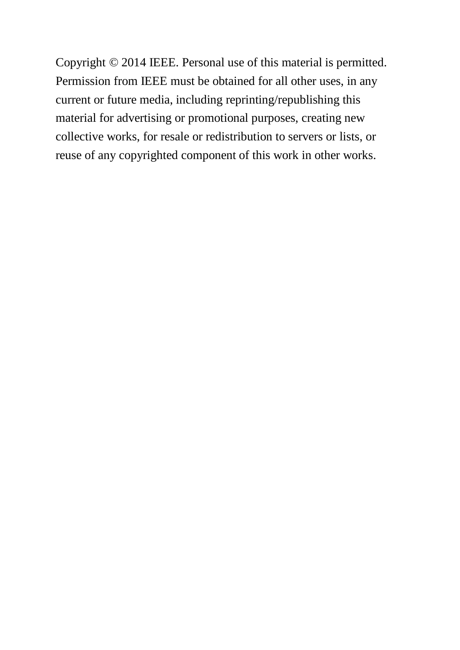Copyright © 2014 IEEE. Personal use of this material is permitted. Permission from IEEE must be obtained for all other uses, in any current or future media, including reprinting/republishing this material for advertising or promotional purposes, creating new collective works, for resale or redistribution to servers or lists, or reuse of any copyrighted component of this work in other works.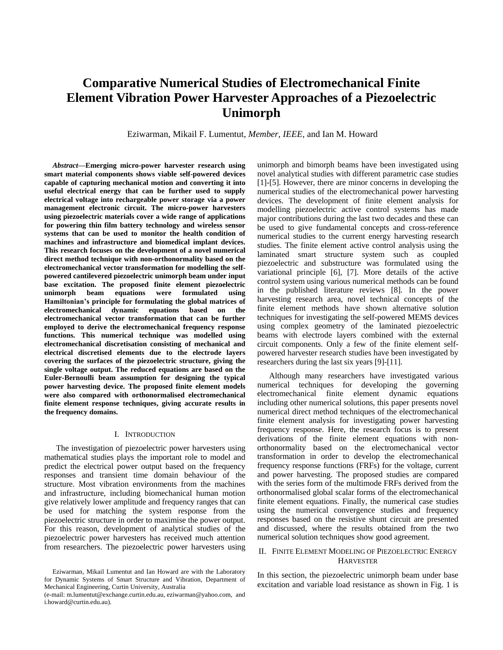# **Comparative Numerical Studies of Electromechanical Finite Element Vibration Power Harvester Approaches of a Piezoelectric Unimorph**

Eziwarman, Mikail F. Lumentut, *Member, IEEE*, and Ian M. Howard

*Abstract***—Emerging micro-power harvester research using smart material components shows viable self-powered devices capable of capturing mechanical motion and converting it into useful electrical energy that can be further used to supply electrical voltage into rechargeable power storage via a power management electronic circuit. The micro-power harvesters using piezoelectric materials cover a wide range of applications for powering thin film battery technology and wireless sensor systems that can be used to monitor the health condition of machines and infrastructure and biomedical implant devices. This research focuses on the development of a novel numerical direct method technique with non-orthonormality based on the electromechanical vector transformation for modelling the selfpowered cantilevered piezoelectric unimorph beam under input base excitation. The proposed finite element piezoelectric unimorph beam equations were formulated using Hamiltonian's principle for formulating the global matrices of electromechanical dynamic equations based on the electromechanical vector transformation that can be further employed to derive the electromechanical frequency response functions. This numerical technique was modelled using electromechanical discretisation consisting of mechanical and electrical discretised elements due to the electrode layers covering the surfaces of the piezoelectric structure, giving the single voltage output. The reduced equations are based on the Euler-Bernoulli beam assumption for designing the typical power harvesting device. The proposed finite element models were also compared with orthonormalised electromechanical finite element response techniques, giving accurate results in the frequency domains.** 

#### I. INTRODUCTION

The investigation of piezoelectric power harvesters using mathematical studies plays the important role to model and predict the electrical power output based on the frequency responses and transient time domain behaviour of the structure. Most vibration environments from the machines and infrastructure, including biomechanical human motion give relatively lower amplitude and frequency ranges that can be used for matching the system response from the piezoelectric structure in order to maximise the power output. For this reason, development of analytical studies of the piezoelectric power harvesters has received much attention from researchers. The piezoelectric power harvesters using

unimorph and bimorph beams have been investigated using novel analytical studies with different parametric case studies [\[1\]](#page-6-0)-[5]. However, there are minor concerns in developing the numerical studies of the electromechanical power harvesting devices. The development of finite element analysis for modelling piezoelectric active control systems has made major contributions during the last two decades and these can be used to give fundamental concepts and cross-reference numerical studies to the current energy harvesting research studies. The finite element active control analysis using the laminated smart structure system such as coupled piezoelectric and substructure was formulated using the variational principle [\[6\]](#page-6-0), [7]. More details of the active control system using various numerical methods can be found in the published literature reviews [8]. In the power harvesting research area, novel technical concepts of the finite element methods have shown alternative solution techniques for investigating the self-powered MEMS devices using complex geometry of the laminated piezoelectric beams with electrode layers combined with the external circuit components. Only a few of the finite element selfpowered harvester research studies have been investigated by researchers during the last six years [9]-[11].

Although many researchers have investigated various numerical techniques for developing the governing electromechanical finite element dynamic equations including other numerical solutions, this paper presents novel numerical direct method techniques of the electromechanical finite element analysis for investigating power harvesting frequency response. Here, the research focus is to present derivations of the finite element equations with nonorthonormality based on the electromechanical vector transformation in order to develop the electromechanical frequency response functions (FRFs) for the voltage, current and power harvesting. The proposed studies are compared with the series form of the multimode FRFs derived from the orthonormalised global scalar forms of the electromechanical finite element equations. Finally, the numerical case studies using the numerical convergence studies and frequency responses based on the resistive shunt circuit are presented and discussed, where the results obtained from the two numerical solution techniques show good agreement.

## II. FINITE ELEMENT MODELING OF PIEZOELECTRIC ENERGY **HARVESTER**

In this section, the piezoelectric unimorph beam under base excitation and variable load resistance as shown in Fig. 1 is

Eziwarman, Mikail Lumentut and Ian Howard are with the Laboratory for Dynamic Systems of Smart Structure and Vibration, Department of Mechanical Engineering, Curtin University, Australia

<sup>(</sup>e-mail: [m.lumentut@exchange.curtin.edu.au,](mailto:m.lumentut@exchange.curtin.edu.au) [eziwarman@yahoo.com,](mailto:eziwarman@yahoo.com) and i.howard@curtin.edu.au).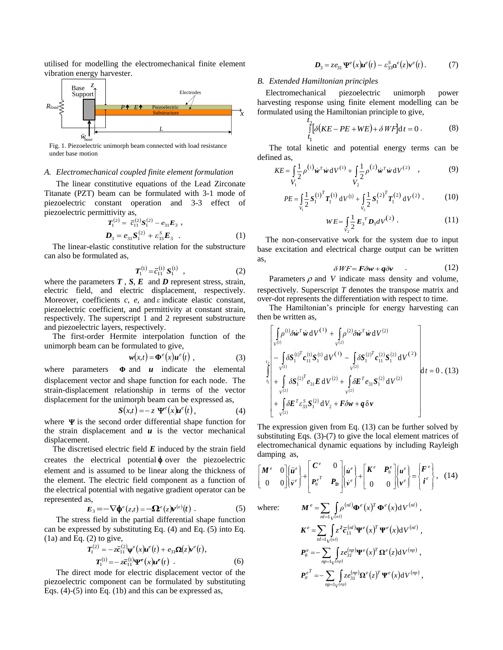utilised for modelling the electromechanical finite element vibration energy harvester.



Fig. 1. Piezoelectric unimorph beam connected with load resistance under base motion

## *A. Electromechanical coupled finite element formulation*

The linear constitutive equations of the Lead Zirconate Titanate (PZT) beam can be formulated with 3-1 mode of piezoelectric constant operation and 3-3 effect of piezoelectric permittivity as,

$$
T_1^{(2)} = \bar{c}_{11}^{(2)} S_1^{(2)} - e_{31} E_3 ,
$$
  
\n
$$
D_3 = e_{31} S_1^{(2)} + \varepsilon_{33}^S E_3 .
$$
 (1)

The linear-elastic constitutive relation for the substructure can also be formulated as,

$$
T_1^{(1)} = \overline{c}_{11}^{(1)} S_1^{(1)} \t , \t (2)
$$

where the parameters  $T$ ,  $S$ ,  $E$  and  $D$  represent stress, strain, electric field, and electric displacement, respectively. Moreover, coefficients  $c$ ,  $e$ , and  $\epsilon$  indicate elastic constant, piezoelectric coefficient, and permittivity at constant strain, respectively. The superscript 1 and 2 represent substructure and piezoelectric layers, respectively.

The first-order Hermite interpolation function of the unimorph beam can be formulated to give,

$$
w(x,t) = \Phi^{e}(x)u^{e}(t) , \qquad (3)
$$

where parameters **Φ** and *u* indicate the elemental displacement vector and shape function for each node. The strain-displacement relationship in terms of the vector displacement for the unimorph beam can be expressed as,

$$
\mathbf{S}(x,t) = -z \; \mathbf{\Psi}^e(x) \mathbf{u}^e(t) \,, \tag{4}
$$

where  $\Psi$  is the second order differential shape function for the strain displacement and  $u$  is the vector mechanical displacement.

The discretised electric field *E* induced by the strain field creates the electrical potential  $\phi$  over the piezoelectric element and is assumed to be linear along the thickness of the element. The electric field component as a function of the electrical potential with negative gradient operator can be represented as,

$$
E_3 = -\nabla \phi^e(z,t) = -\Omega^e(z)\mathcal{V}^{(e)}(t) . \tag{5}
$$

The stress field in the partial differential shape function can be expressed by substituting Eq. (4) and Eq. (5) into Eq.  $(1a)$  and Eq.  $(2)$  to give,

$$
T_1^{(2)} = -z\overline{c}_{11}^{(2)}\Psi^e(x)\Psi^e(t) + e_{31}\Omega(z)\Psi^e(t),
$$
  
\n
$$
T_1^{(1)} = -z\overline{c}_{11}^{(1)}\Psi^e(x)\Psi^e(t) .
$$
 (6)

The direct mode for electric displacement vector of the piezoelectric component can be formulated by substituting Eqs. (4)-(5) into Eq. (1b) and this can be expressed as,

$$
\boldsymbol{D}_3 = z e_{31} \boldsymbol{\Psi}^e(x) \boldsymbol{u}^e(t) - \varepsilon_{33}^S \boldsymbol{\Omega}^e(z) \boldsymbol{v}^e(t).
$$
 (7)

## *B. Extended Hamiltonian principles*

Electromechanical piezoelectric unimorph power harvesting response using finite element modelling can be formulated using the Hamiltonian principle to give,

$$
\int_{t_1}^{t_2} \left[ \delta \left( KE - PE + WE \right) + \delta \, WF \right] \mathrm{d}t = 0 \,. \tag{8}
$$

The total kinetic and potential energy terms can be defined as,

$$
KE = \int_{V_1} \frac{1}{2} \rho^{(1)} \dot{w}^T \dot{w} \, dV^{(1)} + \int_{V_2} \frac{1}{2} \rho^{(2)} \dot{w}^T \dot{w} \, dV^{(2)} \quad , \tag{9}
$$

$$
PE = \int_{V_1} \frac{1}{2} S_1^{(1)^T} T_1^{(1)} dV^{(1)} + \int_{V_2} \frac{1}{2} S_1^{(2)^T} T_1^{(2)} dV^{(2)}.
$$
 (10)

$$
WE = \int_{V_2} \frac{1}{2} \mathbf{E}_3^T \mathbf{D}_3 dV^{(2)} \,. \tag{11}
$$

The non-conservative work for the system due to input base excitation and electrical charge output can be written as,

$$
\delta W F = \mathbf{F} \delta \mathbf{w} + \mathbf{q} \delta \mathbf{v} \qquad (12)
$$

Parameters  $\rho$  and *V* indicate mass density and volume, respectively. Superscript *T* denotes the transpose matrix and over-dot represents the differentiation with respect to time.

The Hamiltonian's principle for energy harvesting can then be written as,

$$
\int_{V^{(1)}} \rho^{(1)} \delta \dot{w}^T \dot{w} dV^{(1)} + \int_{V^{(2)}} \rho^{(2)} \delta \dot{w}^T \dot{w} dV^{(2)} \n- \int_{V^{(1)}} \delta S_1^{(1)}^T c_{11}^{(1)} S_1^{(1)} dV^{(1)} - \int_{V^{(2)}} \delta S_1^{(2)}^T c_{11}^{(2)} S_1^{(2)} dV^{(2)} \n+ \int_{V^{(2)}} \delta S_1^{(2)}^T e_{31}^T E dV^{(2)} + \int_{V^{(2)}} \delta E^T e_{31} S_1^{(2)} dV^{(2)} \n+ \int_{V^{(2)}} \delta E^T \varepsilon_{33}^S S_1^{(2)} dV_2 + F \delta w + q \delta v
$$

The expression given from Eq. (13) can be further solved by substituting Eqs. (3)-(7) to give the local element matrices of electromechanical dynamic equations by including Rayleigh damping as,

$$
\begin{bmatrix} \boldsymbol{M}^e & 0 \\ 0 & 0 \end{bmatrix} \begin{bmatrix} \ddot{\boldsymbol{u}}^e \\ \ddot{\boldsymbol{v}}^e \end{bmatrix} + \begin{bmatrix} \boldsymbol{C}^e & 0 \\ \boldsymbol{P}_\theta^{e^T} & \boldsymbol{P}_\mathbf{D} \end{bmatrix} \begin{bmatrix} \dot{\boldsymbol{u}}^e \\ \dot{\boldsymbol{v}}^e \end{bmatrix} + \begin{bmatrix} \boldsymbol{K}^e & \boldsymbol{P}_\theta^e \\ 0 & 0 \end{bmatrix} \begin{bmatrix} \boldsymbol{u}^e \\ \boldsymbol{v}^e \end{bmatrix} = \begin{bmatrix} \boldsymbol{F}^e \\ \boldsymbol{i}^e \end{bmatrix}, \quad (14)
$$

where:

$$
\mathbf{M}^{e} = \sum_{nl=1} \int_{V^{(nl)}} \rho^{(nl)} \mathbf{\Phi}^{e}(x)^{T} \mathbf{\Phi}^{e}(x) dV^{(nl)},
$$
  

$$
\mathbf{K}^{e} = \sum_{nl=1} \int_{V^{(nl)}} z^{2} \overline{c}_{11}^{(nl)} \mathbf{\Psi}^{e}(x)^{T} \mathbf{\Psi}^{e}(x) dV^{(nl)},
$$
  

$$
\mathbf{P}_{\theta}^{e} = -\sum_{np=1} \int_{V^{(np)}} z e_{31}^{(np)} \mathbf{\Psi}^{e}(x)^{T} \mathbf{\Omega}^{e}(z) dV^{(np)},
$$
  

$$
\mathbf{P}_{\theta}^{e^{T}} = -\sum_{np=1} \int_{V^{(np)}} z e_{31}^{(np)} \mathbf{\Omega}^{e}(z)^{T} \mathbf{\Psi}^{e}(x) dV^{(np)},
$$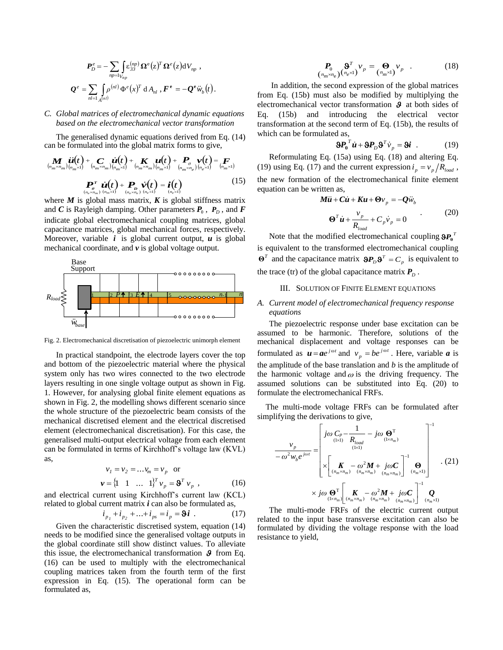$$
\boldsymbol{P}_{D}^{e} = -\sum_{np=1} \int_{V_{np}} \varepsilon_{33}^{(np)} \Omega^{e}(z)^{T} \Omega^{e}(z) dV_{np} ,
$$
  

$$
\boldsymbol{Q}^{e} = \sum_{nl=1} \int_{A} \rho^{(nl)} \Phi^{e}(x)^{T} dA_{nl} , \boldsymbol{F}^{e} = -\boldsymbol{Q}^{e} \ddot{w}_{b}(t) .
$$

# *C. Global matrices of electromechanical dynamic equations based on the electromechanical vector transformation*

The generalised dynamic equations derived from Eq. (14) can be formulated into the global matrix forms to give,

$$
\sum_{(n_m \times n_m)} \boldsymbol{u}(t) + \boldsymbol{C}_{(n_m \times n_m)} \boldsymbol{u}(t) + \boldsymbol{K}_{(n_m \times n_m)} \boldsymbol{u}(t) + \boldsymbol{P}_{\theta} \boldsymbol{v}(t) = \boldsymbol{F}_{(n_m \times n)} \n\boldsymbol{P}_{\theta}^T \boldsymbol{u}(t) + \boldsymbol{P}_{\theta} \boldsymbol{v}(t) = \boldsymbol{I}_{(n_m \times n_e)} \left( \sum_{(n_m \times n_e)} \boldsymbol{u}(t) \right) \n\boldsymbol{P}_{\theta}^T \boldsymbol{u}(t) + \boldsymbol{P}_{\theta} \boldsymbol{v}(t) = \boldsymbol{i}(t) \n\sum_{(n_e \times n_m)} \boldsymbol{u}(n_m \times 1) \qquad (n_e \times 1) \qquad (n_e \times 1)
$$
\n(15)

where  $M$  is global mass matrix,  $K$  is global stiffness matrix and *C* is Rayleigh damping. Other parameters  $P_{\theta}$ ,  $P_{D}$ , and *F* indicate global electromechanical coupling matrices, global capacitance matrices, global mechanical forces, respectively. Moreover, variable *i* is global current output, *u* is global mechanical coordinate, and *v* is global voltage output.



Fig. 2. Electromechanical discretisation of piezoelectric unimorph element

In practical standpoint, the electrode layers cover the top and bottom of the piezoelectric material where the physical system only has two wires connected to the two electrode layers resulting in one single voltage output as shown in Fig. 1. However, for analysing global finite element equations as shown in Fig. 2, the modelling shows different scenario since the whole structure of the piezoelectric beam consists of the mechanical discretised element and the electrical discretised element (electromechanical discretisation). For this case, the generalised multi-output electrical voltage from each element can be formulated in terms of Kirchhoff's voltage law (KVL) as,

$$
v_1 = v_2 = ... v_m = v_p
$$
 or  
\n $v = \begin{cases} 1 & 1 ... 1 \end{cases}^T v_p = \mathbf{S}^T v_p$ , (16)

and electrical current using Kirchhoff's current law (KCL) related to global current matrix *i* can also be formulated as,

$$
i_{p_1} + i_{p_2} + \ldots + i_{ps} = i_p = 9i \tag{17}
$$

Given the characteristic discretised system, equation (14) needs to be modified since the generalised voltage outputs in the global coordinate still show distinct values. To alleviate this issue, the electromechanical transformation  $\mathcal{G}$  from Eq. (16) can be used to multiply with the electromechanical coupling matrices taken from the fourth term of the first expression in Eq. (15). The operational form can be formulated as,

$$
\mathbf{P}_{\theta} \mathbf{P}_{(\eta_n \times n_e)} (\mathbf{P}_{(n_e \times 1)}^T) v_p = \mathbf{Q}_{(\eta_m \times 1)} v_p . \qquad (18)
$$

In addition, the second expression of the global matrices from Eq. (15b) must also be modified by multiplying the electromechanical vector transformation  $\mathcal{G}$  at both sides of Eq. (15b) and introducing the electrical vector transformation at the second term of Eq. (15b), the results of which can be formulated as,

$$
\mathbf{S} \boldsymbol{P}_{\theta}^T \dot{\boldsymbol{u}} + \mathbf{S} \boldsymbol{P}_D \mathbf{S}^T \dot{\boldsymbol{v}}_p = \mathbf{S} \dot{\boldsymbol{i}} \quad . \tag{19}
$$

Reformulating Eq. (15a) using Eq. (18) and altering Eq. (19) using Eq. (17) and the current expression  $i_p = v_p / R_{load}$ , the new formation of the electromechanical finite element equation can be written as,

$$
M\ddot{u} + C\dot{u} + Ku + \Theta v_p = -Q\ddot{w}_b
$$
  

$$
\Theta^T \dot{u} + \frac{v_p}{R_{load}} + C_p \dot{v}_p = 0
$$
 (20)

Note that the modified electromechanical coupling  $\mathbf{SP}_{\theta}^{\eta}$ is equivalent to the transformed electromechanical coupling  $\mathbf{\Theta}^T$  and the capacitance matrix  $\mathbf{\Theta} \mathbf{P}_D \mathbf{\Theta}^T = C_p$  is equivalent to the trace (tr) of the global capacitance matrix  $P_D$ .

#### III. SOLUTION OF FINITE ELEMENT EQUATIONS

# *A. Current model of electromechanical frequency response equations*

The piezoelectric response under base excitation can be assumed to be harmonic. Therefore, solutions of the mechanical displacement and voltage responses can be formulated as  $u = ae^{j\omega t}$  and  $v_p = be^{j\omega t}$ . Here, variable *a* is the amplitude of the base translation and *b* is the amplitude of the harmonic voltage and  $\omega$  is the driving frequency. The assumed solutions can be substituted into Eq. (20) to formulate the electromechanical FRFs.

The multi-mode voltage FRFs can be formulated after simplifying the derivations to give,

$$
\frac{v_p}{-\omega^2 w_b e^{j\omega t}} = \begin{bmatrix} j\omega C_p - \frac{1}{R_{load}} - j\omega \mathbf{\Theta}^T \\ \frac{v_p}{(\ln 1)} \\ \times \begin{bmatrix} K & -\omega^2 M + j\omega C \\ \frac{1}{(n_m \times n_m)} - \frac{1}{(n_m \times n_m)} \frac{1}{(n_m \times n_m)} \end{bmatrix}^{-1} \mathbf{\Theta} \\ \times j\omega \mathbf{\Theta}^T \begin{bmatrix} K & -\omega^2 M + j\omega C \\ \frac{1}{(n_m \times n_m)} - \frac{1}{(n_m \times n_m)} \frac{1}{(n_m \times n_m)} \end{bmatrix}^{-1} \mathbf{\Theta} \\ \frac{1}{(n_m \times n_m)} \mathbf{\Theta}^T \begin{bmatrix} K & -\omega^2 M + j\omega C \\ \frac{1}{(n_m \times n_m)} - \frac{1}{(n_m \times n_m)} \end{bmatrix}^{-1} \mathbf{\Theta} \\ \frac{1}{(n_m \times n_m)} \mathbf{\Theta}^T \begin{bmatrix} K & -\omega^2 M + j\omega C \\ \frac{1}{(n_m \times n_m)} - \frac{1}{(n_m \times n_m)} \end{bmatrix}^{-1} \mathbf{\Theta}^T \mathbf{\Theta}^T \mathbf{\Theta}^T \mathbf{\Theta}^T \mathbf{\Theta}^T \mathbf{\Theta}^T \mathbf{\Theta}^T \mathbf{\Theta}^T \mathbf{\Theta}^T \mathbf{\Theta}^T \mathbf{\Theta}^T \mathbf{\Theta}^T \mathbf{\Theta}^T \mathbf{\Theta}^T \mathbf{\Theta}^T \mathbf{\Theta}^T \mathbf{\Theta}^T \mathbf{\Theta}^T \mathbf{\Theta}^T \mathbf{\Theta}^T \mathbf{\Theta}^T \mathbf{\Theta}^T \mathbf{\Theta}^T \mathbf{\Theta}^T \mathbf{\Theta}^T \mathbf{\Theta}^T \mathbf{\Theta}^T \mathbf{\Theta}^T \mathbf{\Theta}^T \mathbf{\Theta}^T \mathbf{\Theta}^T \mathbf{\Theta}^T \mathbf{\Theta}^T \mathbf{\Theta}^T \mathbf{\Theta}^T \mathbf{\Theta}^T \mathbf{\Theta}^T \mathbf{\Theta}^T \mathbf{\Theta}^T \mathbf{\Theta}^T \mathbf{\Theta}^T \mathbf{\Theta}^T \mathbf{\Theta}^T \mathbf{\Theta}^T \mathbf{\Theta}^T \mathbf{\Theta}
$$

The multi-mode FRFs of the electric current output related to the input base transverse excitation can also be formulated by dividing the voltage response with the load resistance to yield,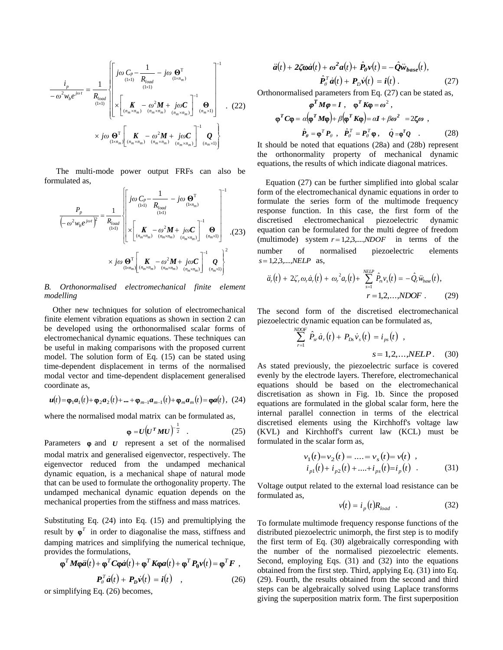$$
\frac{i_{p}}{-\omega^{2}w_{b}e^{j\omega t}} = \frac{1}{R_{load}} \left[ \begin{bmatrix} j\omega C_{p} - \frac{1}{R_{load}} - j\omega \mathbf{\Theta}^{T} \\ \sum_{(1\times 1)}^{(1\times 1)} \begin{bmatrix} 1 \\ R_{load} \\ \vdots \end{bmatrix} \begin{bmatrix} 1 \\ R_{load} \\ \vdots \end{bmatrix} \begin{bmatrix} 1 \\ R_{load} \\ \vdots \end{bmatrix} \begin{bmatrix} 1 \\ R_{load} \\ \vdots \end{bmatrix} \begin{bmatrix} 1 \\ R_{cond} \\ \vdots \end{bmatrix} \begin{bmatrix} 1 \\ R_{on \times n_{m}} \end{bmatrix} \begin{bmatrix} 1 \\ \omega_{m_{m} \times n_{m}} \end{bmatrix} \begin{bmatrix} 1 \\ \omega_{m_{m} \times n_{m}} \end{bmatrix} \begin{bmatrix} 1 \\ \omega_{m_{m} \times n_{m}} \end{bmatrix} \begin{bmatrix} 0 \\ \omega_{m_{m} \times n_{m}} \end{bmatrix} \begin{bmatrix} 0 \\ \omega_{m_{m} \times n_{m}} \end{bmatrix} \begin{bmatrix} 0 \\ \omega_{m_{m} \times n_{m}} \end{bmatrix} \begin{bmatrix} 0 \\ \omega_{m_{m} \times n_{m}} \end{bmatrix} \begin{bmatrix} 0 \\ \omega_{m_{m} \times n_{m}} \end{bmatrix} \begin{bmatrix} 0 \\ \omega_{m_{m} \times n_{m}} \end{bmatrix} \begin{bmatrix} 0 \\ \omega_{m_{m} \times n_{m}} \end{bmatrix} \begin{bmatrix} 0 \\ \omega_{m_{m} \times n_{m}} \end{bmatrix} \begin{bmatrix} 0 \\ \omega_{m_{m} \times n_{m}} \end{bmatrix} \begin{bmatrix} 0 \\ \omega_{m_{m} \times n_{m}} \end{bmatrix} \begin{bmatrix} 0 \\ \omega_{m_{m} \times n_{m}} \end{bmatrix} \begin{bmatrix} 0 \\ \omega_{m_{m} \times n_{m}} \end{bmatrix} \begin{bmatrix} 0 \\ \omega_{m_{m} \times n_{m}} \end{bmatrix} \begin{bmatrix} 0 \\ \omega_{m_{m} \times n_{m}} \end{bmatrix} \begin{bmatrix} 0 \\ \omega_{m_{m} \times n_{m}} \end{bmatrix} \begin{bmatrix} 0 \\ \omega_{m_{m} \times n_{m}} \end{b
$$

The multi-mode power output FRFs can also be formulated as,

$$
\frac{P_p}{(-\omega^2 w_b e^{j\omega t})^2} = \frac{1}{R_{load}} \left\{ \begin{bmatrix} j\omega C_p - \frac{1}{R_{load}} - j\omega \mathbf{\Theta}^{\mathrm{T}} \\ \frac{1}{(\text{box})} \\ \frac{1}{(\text{box})} \end{bmatrix}^{-1} \begin{bmatrix} -j\omega \mathbf{\Theta}^{\mathrm{T}} \\ \frac{1}{(\text{box})} \\ \frac{1}{(\text{box})} \end{bmatrix}^{-1} \begin{bmatrix} 0 \\ \omega \mathbf{\Theta}^{\mathrm{T}} \\ \frac{1}{(\text{box})} \end{bmatrix} \right\}^{-1} \cdot (23)
$$
\n
$$
\times j\omega \mathbf{\Theta}^{\mathrm{T}} \left[ \mathbf{K} - \omega^2 M + j\omega C \left[ \frac{1}{(n_m \times n_m)} \left( \frac{1}{(n_m \times n_m)} \right) \right]^{-1} \mathbf{\Theta}^{\mathrm{T}} \right\}^{-1} \cdot (23)
$$

## *B. Orthonormalised electromechanical finite element modelling*

Other new techniques for solution of electromechanical finite element vibration equations as shown in section 2 can be developed using the orthonormalised scalar forms of electromechanical dynamic equations. These techniques can be useful in making comparisons with the proposed current model. The solution form of Eq. (15) can be stated using time-dependent displacement in terms of the normalised modal vector and time-dependent displacement generalised coordinate as,

$$
u(t) = \varphi_1 a_1(t) + \varphi_2 a_2(t) + \dots + \varphi_{m-1} a_{m-1}(t) + \varphi_m a_m(t) = \varphi a(t), (24)
$$

where the normalised modal matrix can be formulated as,

$$
\varphi = U \Big( U^T M U \Big)^{-\frac{1}{2}} \quad . \tag{25}
$$

Parameters  $\varphi$  and  $U$  represent a set of the normalised modal matrix and generalised eigenvector, respectively. The eigenvector reduced from the undamped mechanical dynamic equation, is a mechanical shape of natural mode that can be used to formulate the orthogonality property. The undamped mechanical dynamic equation depends on the mechanical properties from the stiffness and mass matrices.

Substituting Eq. (24) into Eq. (15) and premultiplying the result by  $\varphi^T$  in order to diagonalise the mass, stiffness and damping matrices and simplifying the numerical technique, provides the formulations,

$$
\varphi^T M \varphi \ddot{a}(t) + \varphi^T C \varphi \dot{a}(t) + \varphi^T K \varphi a(t) + \varphi^T P_0 v(t) = \varphi^T F,
$$
  

$$
P_\theta^T \dot{a}(t) + P_D \dot{v}(t) = \dot{t}(t) , \qquad (26)
$$

or simplifying Eq. (26) becomes,

$$
\ddot{a}(t) + 2\zeta \omega \dot{a}(t) + \omega^2 a(t) + \hat{P}_{\theta} v(t) = -\hat{Q} \ddot{w}_{base}(t),
$$
  

$$
\hat{P}_{\theta}^T \dot{a}(t) + P_{D} \dot{v}(t) = \dot{i}(t).
$$
 (27)

Orthonormalised parameters from Eq. (27) can be stated as,

$$
\varphi^T M \varphi = I \ , \quad \varphi^T K \varphi = \omega^2 \ ,
$$

$$
\varphi^T C \varphi = \alpha (\varphi^T M \varphi) + \beta (\varphi^T K \varphi) = \alpha I + \beta \omega^2 = 2 \zeta \omega \ ,
$$

$$
\hat{P}_{\theta} = \varphi^T P_{\theta} \ , \quad \hat{P}_{\theta}^T = P_{\theta}^T \varphi \ , \quad \hat{Q} = \varphi^T Q \ . \tag{28}
$$

It should be noted that equations  $(28a)$  and  $(28b)$  represent the orthonormality property of mechanical dynamic equations, the results of which indicate diagonal matrices.

Equation (27) can be further simplified into global scalar form of the electromechanical dynamic equations in order to formulate the series form of the multimode frequency response function. In this case, the first form of the discretised electromechanical piezoelectric dynamic equation can be formulated for the multi degree of freedom (multimode) system  $r = 1,2,3,...,NDOF$  in terms of the number of normalised piezoelectric elements *s* 1*,*2*,*3*,....,NELP* as,

$$
\ddot{a}_r(t) + 2\zeta_r \omega_r \dot{a}_r(t) + \omega_r^2 a_r(t) + \sum_{s=1}^{NEIP} \hat{P}_{rs} v_s(t) = -\hat{Q}_r \ddot{w}_{base}(t),
$$
  

$$
r = 1, 2, ..., NDOF.
$$
 (29)

The second form of the discretised electromechanical piezoelectric dynamic equation can be formulated as,

$$
\sum_{r=1}^{NDOF} \hat{P}_{sr} \dot{a}_r(t) + P_{Ds} \dot{v}_s(t) = i_{ps}(t) ,
$$
  

$$
s = 1, 2, ..., NELP .
$$
 (30)

As stated previously, the piezoelectric surface is covered evenly by the electrode layers. Therefore, electromechanical equations should be based on the electromechanical discretisation as shown in Fig. 1b. Since the proposed equations are formulated in the global scalar form, here the internal parallel connection in terms of the electrical discretised elements using the Kirchhoff's voltage law (KVL) and Kirchhoff's current law (KCL) must be formulated in the scalar form as,

$$
v_1(t) = v_2(t) = \dots = v_s(t) = v(t) ,i_{p1}(t) + i_{p2}(t) + \dots + i_{ps}(t) = i_p(t) .
$$
 (31)

Voltage output related to the external load resistance can be formulated as,

$$
v(t) = i_p(t)R_{load} \quad . \tag{32}
$$

To formulate multimode frequency response functions of the distributed piezoelectric unimorph, the first step is to modify the first term of Eq. (30) algebraically corresponding with the number of the normalised piezoelectric elements. Second, employing Eqs. (31) and (32) into the equations obtained from the first step. Third, applying Eq. (31) into Eq. (29). Fourth, the results obtained from the second and third steps can be algebraically solved using Laplace transforms giving the superposition matrix form. The first superposition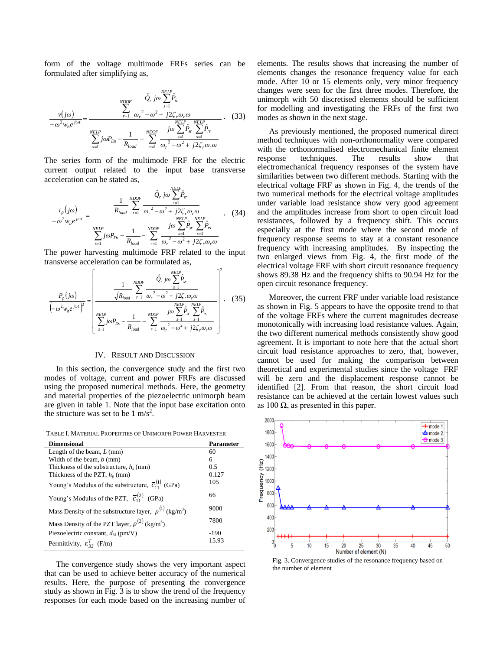form of the voltage multimode FRFs series can be formulated after simplifying as,

$$
\frac{v(j\omega)}{-\omega^2 w_b e^{j\omega t}} = \frac{\sum_{r=1}^{NEDF} \hat{Q}_r j\omega \sum_{s=1}^{NELP} \hat{P}_s}{\omega_r^2 - \omega^2 + j2\zeta_r \omega_r \omega} \qquad (33)
$$
  

$$
\sum_{s=1}^{NELP} j\omega P_{Ds} - \frac{1}{R_{load}} - \sum_{r=1}^{NDOF} \frac{j\omega \sum_{s=1}^{NELP} \hat{P}_s}{\omega_r^2 - \omega^2 + j2\zeta_r \omega_r \omega}
$$

The series form of the multimode FRF for the electric current output related to the input base transverse acceleration can be stated as,

$$
\frac{i_p(j\omega)}{-\omega^2 w_b e^{j\omega t}} = \frac{\frac{1}{R_{load}} \sum_{r=1}^{NDOF} \frac{\hat{Q}_r j\omega \sum_{s=1}^{\hat{P}_s} \hat{P}_s}{\omega_r^2 - \omega^2 + j2\zeta_r \omega_r \omega}}{\sum_{s=1}^{NELP} j\omega P_{Ds} - \frac{1}{R_{load}} - \sum_{r=1}^{NDOF} \frac{j\omega \sum_{s=1}^{NEIP} \hat{P}_s \sum_{s=1}^{NEIP} \hat{P}_s}{\omega_r^2 - \omega^2 + j2\zeta_r \omega_r \omega}}.
$$
(34)

*NELP*

The power harvesting multimode FRF related to the input transverse acceleration can be formulated as,

$$
\frac{P_p(j\omega)}{(-\omega^2 w_b e^{j\omega t})^2} = \left[ \frac{\frac{1}{\sqrt{R_{load}}} \sum_{r=1}^{NDOF} \frac{\hat{Q}_r j\omega \sum_{s=1}^{NEIP} \hat{P}_s}{\omega_r^2 - \omega^2 + j2\zeta_r \omega_r \omega}}{\sum_{s=1}^{NEIP} j\omega P_{Ds} - \frac{1}{R_{load}} - \sum_{r=1}^{NDOF} \frac{j\omega \sum_{s=1}^{NEIP} \hat{P}_s}{\omega_r^2 - \omega^2 + j2\zeta_r \omega_r \omega}} \right].
$$
(35)

#### IV. RESULT AND DISCUSSION

In this section, the convergence study and the first two modes of voltage, current and power FRFs are discussed using the proposed numerical methods. Here, the geometry and material properties of the piezoelectric unimorph beam are given in table 1. Note that the input base excitation onto the structure was set to be  $1 \text{ m/s}^2$ .

TABLE I. MATERIAL PROPERTIES OF UNIMORPH POWER HARVESTER

| <b>Dimensional</b>                                                        | <b>Parameter</b> |
|---------------------------------------------------------------------------|------------------|
| Length of the beam, $L$ (mm)                                              | 60               |
| Width of the beam, $b$ (mm)                                               | 6                |
| Thickness of the substructure, $h_s$ (mm)                                 | 0.5              |
| Thickness of the PZT, $h_n$ (mm)                                          | 0.127            |
| Young's Modulus of the substructure, $\overline{c}_{11}^{(1)}$ (GPa)      | 105              |
| Young's Modulus of the PZT, $\overline{c}_{11}^{(2)}$ (GPa)               | 66               |
| Mass Density of the substructure layer, $\rho^{(1)}$ (kg/m <sup>3</sup> ) | 9000             |
| Mass Density of the PZT layer, $\rho^{(2)}$ (kg/m <sup>3</sup> )          | 7800             |
| Piezoelectric constant, $d_{31}$ (pm/V)                                   | $-190$           |
| Permittivity, $\epsilon_{33}^T$ (F/m)                                     | 15.93            |

The convergence study shows the very important aspect that can be used to achieve better accuracy of the numerical results. Here, the purpose of presenting the convergence study as shown in Fig. 3 is to show the trend of the frequency responses for each mode based on the increasing number of elements. The results shows that increasing the number of elements changes the resonance frequency value for each mode. After 10 or 15 elements only, very minor frequency changes were seen for the first three modes. Therefore, the unimorph with 50 discretised elements should be sufficient for modelling and investigating the FRFs of the first two modes as shown in the next stage.

As previously mentioned, the proposed numerical direct method techniques with non-orthonormality were compared with the orthonormalised electromechanical finite element<br>response techniques. The results show that response techniques. The results show that electromechanical frequency responses of the system have similarities between two different methods. Starting with the electrical voltage FRF as shown in Fig. 4, the trends of the two numerical methods for the electrical voltage amplitudes under variable load resistance show very good agreement and the amplitudes increase from short to open circuit load resistances, followed by a frequency shift. This occurs especially at the first mode where the second mode of frequency response seems to stay at a constant resonance frequency with increasing amplitudes. By inspecting the two enlarged views from Fig. 4, the first mode of the electrical voltage FRF with short circuit resonance frequency shows 89.38 Hz and the frequency shifts to 90.94 Hz for the open circuit resonance frequency.

Moreover, the current FRF under variable load resistance as shown in Fig. 5 appears to have the opposite trend to that of the voltage FRFs where the current magnitudes decrease monotonically with increasing load resistance values. Again, the two different numerical methods consistently show good agreement. It is important to note here that the actual short circuit load resistance approaches to zero, that, however, cannot be used for making the comparison between theoretical and experimental studies since the voltage FRF will be zero and the displacement response cannot be identified [2]. From that reason, the short circuit load resistance can be achieved at the certain lowest values such as 100  $\Omega$ , as presented in this paper.



Fig. 3. Convergence studies of the resonance frequency based on the number of element